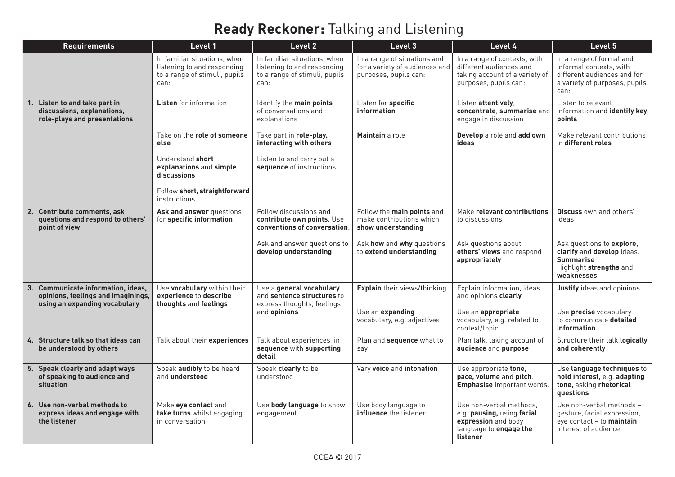## **Ready Reckoner:** Talking and Listening

| <b>Requirements</b>                                                                                       | Level 1                                                                                              | Level 2                                                                                              | Level 3                                                                                 | Level 4                                                                                                            | Level 5                                                                                                                      |
|-----------------------------------------------------------------------------------------------------------|------------------------------------------------------------------------------------------------------|------------------------------------------------------------------------------------------------------|-----------------------------------------------------------------------------------------|--------------------------------------------------------------------------------------------------------------------|------------------------------------------------------------------------------------------------------------------------------|
|                                                                                                           | In familiar situations, when<br>listening to and responding<br>to a range of stimuli, pupils<br>can: | In familiar situations, when<br>listening to and responding<br>to a range of stimuli, pupils<br>can: | In a range of situations and<br>for a variety of audiences and<br>purposes, pupils can: | In a range of contexts, with<br>different audiences and<br>taking account of a variety of<br>purposes, pupils can: | In a range of formal and<br>informal contexts, with<br>different audiences and for<br>a variety of purposes, pupils<br>can:  |
| 1. Listen to and take part in<br>discussions, explanations,<br>role-plays and presentations               | <b>Listen</b> for information                                                                        | Identify the main points<br>of conversations and<br>explanations                                     | Listen for specific<br>information                                                      | Listen attentively,<br>concentrate, summarise and<br>engage in discussion                                          | Listen to relevant<br>information and identify key<br>points                                                                 |
|                                                                                                           | Take on the role of someone<br>else                                                                  | Take part in role-play,<br>interacting with others                                                   | Maintain a role                                                                         | Develop a role and add own<br>ideas                                                                                | Make relevant contributions<br>in different roles                                                                            |
|                                                                                                           | Understand short<br>explanations and simple<br>discussions                                           | Listen to and carry out a<br>sequence of instructions                                                |                                                                                         |                                                                                                                    |                                                                                                                              |
|                                                                                                           | Follow short, straightforward<br>instructions                                                        |                                                                                                      |                                                                                         |                                                                                                                    |                                                                                                                              |
| 2. Contribute comments, ask<br>questions and respond to others'<br>point of view                          | Ask and answer questions<br>for specific information                                                 | Follow discussions and<br>contribute own points. Use<br>conventions of conversation.                 | Follow the main points and<br>make contributions which<br>show understanding            | Make relevant contributions<br>to discussions                                                                      | Discuss own and others'<br>ideas                                                                                             |
|                                                                                                           |                                                                                                      | Ask and answer questions to<br>develop understanding                                                 | Ask how and why questions<br>to extend understanding                                    | Ask questions about<br>others' views and respond<br>appropriately                                                  | Ask questions to <b>explore</b> .<br>clarify and develop ideas.<br><b>Summarise</b><br>Highlight strengths and<br>weaknesses |
| 3. Communicate information, ideas,<br>opinions, feelings and imaginings,<br>using an expanding vocabulary | Use vocabulary within their<br>experience to describe<br>thoughts and feelings                       | Use a general vocabulary<br>and sentence structures to<br>express thoughts, feelings                 | <b>Explain</b> their views/thinking                                                     | Explain information, ideas<br>and opinions clearly                                                                 | Justify ideas and opinions                                                                                                   |
|                                                                                                           |                                                                                                      | and opinions                                                                                         | Use an expanding<br>vocabulary, e.g. adjectives                                         | Use an appropriate<br>vocabulary, e.g. related to<br>context/topic.                                                | Use precise vocabulary<br>to communicate detailed<br>information                                                             |
| 4. Structure talk so that ideas can<br>be understood by others                                            | Talk about their experiences                                                                         | Talk about experiences in<br>sequence with supporting<br>detail                                      | Plan and sequence what to<br>say                                                        | Plan talk, taking account of<br>audience and purpose                                                               | Structure their talk logically<br>and coherently                                                                             |
| 5. Speak clearly and adapt ways<br>of speaking to audience and<br>situation                               | Speak audibly to be heard<br>and understood                                                          | Speak clearly to be<br>understood                                                                    | Vary voice and intonation                                                               | Use appropriate tone,<br>pace, volume and pitch.<br><b>Emphasise</b> important words.                              | Use language techniques to<br>hold interest, e.g. adapting<br>tone, asking rhetorical<br>questions                           |
| 6. Use non-verbal methods to<br>express ideas and engage with<br>the listener                             | Make eye contact and<br>take turns whilst engaging<br>in conversation                                | Use body language to show<br>engagement                                                              | Use body language to<br><b>influence</b> the listener                                   | Use non-verbal methods.<br>e.g. pausing, using facial<br>expression and body<br>language to engage the<br>listener | Use non-verbal methods -<br>gesture, facial expression,<br>eye contact - to maintain<br>interest of audience.                |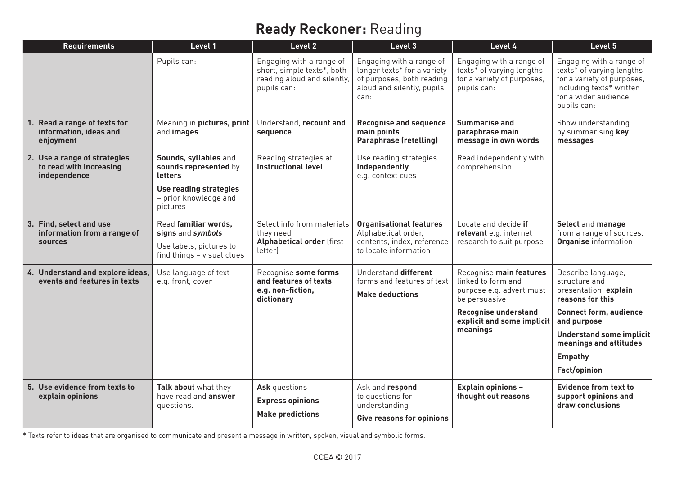## **Ready Reckoner:** Reading

| <b>Requirements</b>                                                      | Level 1                                                                                                      | Level 2                                                                                              | Level 3                                                                                                                    | Level 4                                                                                            | Level 5                                                                                                                                                 |
|--------------------------------------------------------------------------|--------------------------------------------------------------------------------------------------------------|------------------------------------------------------------------------------------------------------|----------------------------------------------------------------------------------------------------------------------------|----------------------------------------------------------------------------------------------------|---------------------------------------------------------------------------------------------------------------------------------------------------------|
|                                                                          | Pupils can:                                                                                                  | Engaging with a range of<br>short, simple texts*, both<br>reading aloud and silently,<br>pupils can: | Engaging with a range of<br>longer texts* for a variety<br>of purposes, both reading<br>aloud and silently, pupils<br>can: | Engaging with a range of<br>texts* of varying lengths<br>for a variety of purposes,<br>pupils can: | Engaging with a range of<br>texts* of varying lengths<br>for a variety of purposes,<br>including texts* written<br>for a wider audience,<br>pupils can: |
| 1. Read a range of texts for<br>information, ideas and<br>enjoyment      | Meaning in pictures, print<br>and images                                                                     | Understand, recount and<br>sequence                                                                  | <b>Recognise and sequence</b><br>main points<br><b>Paraphrase (retelling)</b>                                              | <b>Summarise and</b><br>paraphrase main<br>message in own words                                    | Show understanding<br>by summarising key<br>messages                                                                                                    |
| 2. Use a range of strategies<br>to read with increasing<br>independence  | Sounds, syllables and<br>sounds represented by<br>letters<br>Use reading strategies<br>- prior knowledge and | Reading strategies at<br>instructional level                                                         | Use reading strategies<br>independently<br>e.g. context cues                                                               | Read independently with<br>comprehension                                                           |                                                                                                                                                         |
|                                                                          | pictures                                                                                                     |                                                                                                      |                                                                                                                            |                                                                                                    |                                                                                                                                                         |
| 3. Find, select and use<br>information from a range of<br><b>sources</b> | Read familiar words,<br>signs and symbols                                                                    | Select info from materials<br>they need<br><b>Alphabetical order (first</b><br>letter)               | <b>Organisational features</b><br>Alphabetical order,<br>contents, index, reference<br>to locate information               | Locate and decide if<br>relevant e.g. internet<br>research to suit purpose                         | Select and manage<br>from a range of sources.<br><b>Organise</b> information                                                                            |
|                                                                          | Use labels, pictures to<br>find things - visual clues                                                        |                                                                                                      |                                                                                                                            |                                                                                                    |                                                                                                                                                         |
| 4. Understand and explore ideas,<br>events and features in texts         | Use language of text<br>e.g. front, cover                                                                    | Recognise some forms<br>and features of texts<br>e.g. non-fiction,<br>dictionary                     | Understand different<br>forms and features of text<br><b>Make deductions</b>                                               | Recognise main features<br>linked to form and<br>purpose e.g. advert must<br>be persuasive         | Describe language,<br>structure and<br>presentation: explain<br>reasons for this                                                                        |
|                                                                          |                                                                                                              |                                                                                                      |                                                                                                                            | <b>Recognise understand</b><br>explicit and some implicit<br>meanings                              | <b>Connect form, audience</b><br>and purpose                                                                                                            |
|                                                                          |                                                                                                              |                                                                                                      |                                                                                                                            |                                                                                                    | <b>Understand some implicit</b><br>meanings and attitudes                                                                                               |
|                                                                          |                                                                                                              |                                                                                                      |                                                                                                                            |                                                                                                    | <b>Empathy</b>                                                                                                                                          |
|                                                                          |                                                                                                              |                                                                                                      |                                                                                                                            |                                                                                                    | Fact/opinion                                                                                                                                            |
| 5. Use evidence from texts to<br>explain opinions                        | Talk about what they<br>have read and answer<br>questions.                                                   | Ask questions<br><b>Express opinions</b><br><b>Make predictions</b>                                  | Ask and respond<br>to questions for<br>understanding<br>Give reasons for opinions                                          | <b>Explain opinions -</b><br>thought out reasons                                                   | <b>Evidence from text to</b><br>support opinions and<br>draw conclusions                                                                                |

\* Texts refer to ideas that are organised to communicate and present a message in written, spoken, visual and symbolic forms.